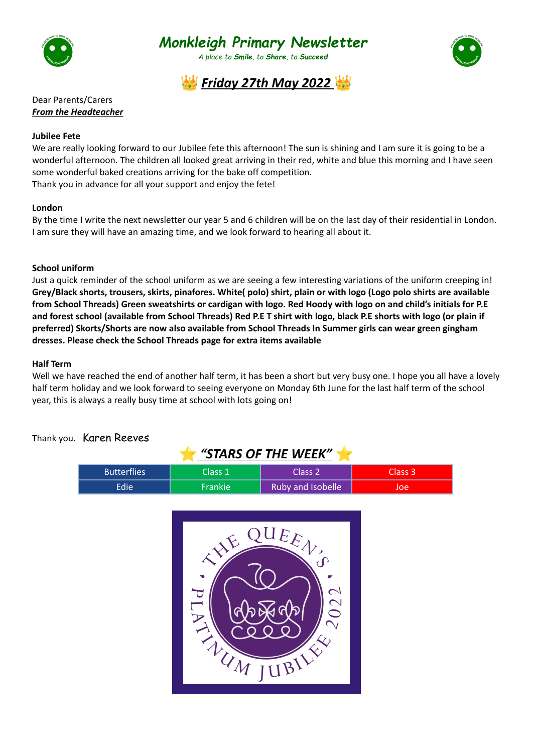



*A place to Smile, to Share, to Succeed*





Dear Parents/Carers *From the Headteacher*

## **Jubilee Fete**

We are really looking forward to our Jubilee fete this afternoon! The sun is shining and I am sure it is going to be a wonderful afternoon. The children all looked great arriving in their red, white and blue this morning and I have seen some wonderful baked creations arriving for the bake off competition. Thank you in advance for all your support and enjoy the fete!

## **London**

By the time I write the next newsletter our year 5 and 6 children will be on the last day of their residential in London. I am sure they will have an amazing time, and we look forward to hearing all about it.

## **School uniform**

Just a quick reminder of the school uniform as we are seeing a few interesting variations of the uniform creeping in! Grey/Black shorts, trousers, skirts, pinafores. White(polo) shirt, plain or with logo (Logo polo shirts are available from School Threads) Green sweatshirts or cardigan with logo. Red Hoody with logo on and child's initials for P.E and forest school (available from School Threads) Red P.E T shirt with logo, black P.E shorts with logo (or plain if **preferred) Skorts/Shorts are now also available from School Threads In Summer girls can wear green gingham dresses. Please check the School Threads page for extra items available**

### **Half Term**

Well we have reached the end of another half term, it has been a short but very busy one. I hope you all have a lovely half term holiday and we look forward to seeing everyone on Monday 6th June for the last half term of the school year, this is always a really busy time at school with lots going on!

Thank you. Karen Reeves

| "STARS OF THE WEEK" |                |                          |         |  |
|---------------------|----------------|--------------------------|---------|--|
| <b>Butterflies</b>  | Class 1        | Class <sub>2</sub>       | Class 3 |  |
| Edie                | <b>Frankie</b> | <b>Ruby and Isobelle</b> | Joe     |  |